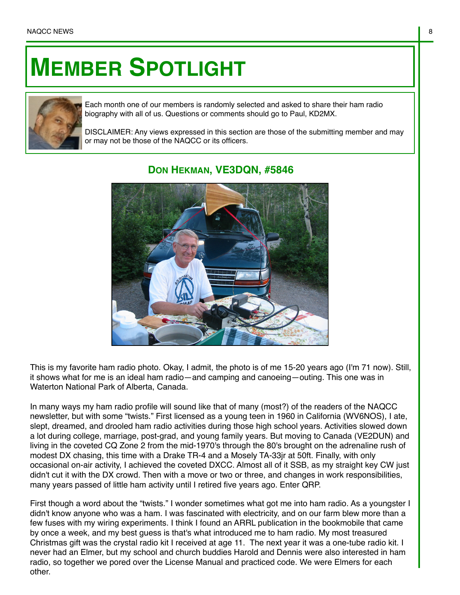## **MEMBER SPOTLIGHT**



Each month one of our members is randomly selected and asked to share their ham radio biography with all of us. Questions or comments should go to Paul, KD2MX.

DISCLAIMER: Any views expressed in this section are those of the submitting member and may or may not be those of the NAQCC or its officers.



## **DON HEKMAN, VE3DQN, #5846**

This is my favorite ham radio photo. Okay, I admit, the photo is of me 15-20 years ago (I'm 71 now). Still, it shows what for me is an ideal ham radio—and camping and canoeing—outing. This one was in Waterton National Park of Alberta, Canada.

In many ways my ham radio profile will sound like that of many (most?) of the readers of the NAQCC newsletter, but with some "twists." First licensed as a young teen in 1960 in California (WV6NOS), I ate, slept, dreamed, and drooled ham radio activities during those high school years. Activities slowed down a lot during college, marriage, post-grad, and young family years. But moving to Canada (VE2DUN) and living in the coveted CQ Zone 2 from the mid-1970's through the 80's brought on the adrenaline rush of modest DX chasing, this time with a Drake TR-4 and a Mosely TA-33jr at 50ft. Finally, with only occasional on-air activity, I achieved the coveted DXCC. Almost all of it SSB, as my straight key CW just didn't cut it with the DX crowd. Then with a move or two or three, and changes in work responsibilities, many years passed of little ham activity until I retired five years ago. Enter QRP.

First though a word about the "twists." I wonder sometimes what got me into ham radio. As a youngster I didn't know anyone who was a ham. I was fascinated with electricity, and on our farm blew more than a few fuses with my wiring experiments. I think I found an ARRL publication in the bookmobile that came by once a week, and my best guess is that's what introduced me to ham radio. My most treasured Christmas gift was the crystal radio kit I received at age 11. The next year it was a one-tube radio kit. I never had an Elmer, but my school and church buddies Harold and Dennis were also interested in ham radio, so together we pored over the License Manual and practiced code. We were Elmers for each other.